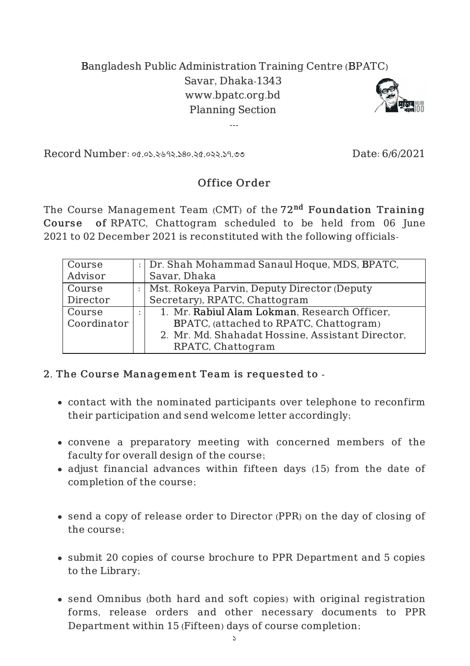## Bangladesh Public Administration Training Centre (BPATC) Savar, Dhaka-1343 www.bpatc.org.bd Planning Section

---



Record Number: ০৫.০১.২৬৭২.১৪০.২৫.০২২.১৭.৩৩ Date: 6/6/2021

## Office Order

The Course Management Team (CMT) of the 72<sup>nd</sup> Foundation Training Course of RPATC, Chattogram scheduled to be held from 06 June 2021 to 02 December 2021 is reconstituted with the following officials-

| Course      | Dr. Shah Mohammad Sanaul Hoque, MDS, BPATC,      |
|-------------|--------------------------------------------------|
| Advisor     | Savar, Dhaka                                     |
| Course      | Mst. Rokeya Parvin, Deputy Director (Deputy      |
| Director    | Secretary), RPATC, Chattogram                    |
| Course      | 1. Mr. Rabiul Alam Lokman, Research Officer,     |
| Coordinator | BPATC, (attached to RPATC, Chattogram)           |
|             | 2. Mr. Md. Shahadat Hossine, Assistant Director, |
|             | RPATC, Chattogram                                |

## 2. The Course Management Team is requested to -

- contact with the nominated participants over telephone to reconfirm their participation and send welcome letter accordingly;
- convene a preparatory meeting with concerned members of the faculty for overall design of the course;
- adjust financial advances within fifteen days (15) from the date of completion of the course;
- send a copy of release order to Director (PPR) on the day of closing of the course;
- submit 20 copies of course brochure to PPR Department and 5 copies to the Library;
- send Omnibus (both hard and soft copies) with original registration forms, release orders and other necessary documents to PPR Department within 15 (Fifteen) days of course completion;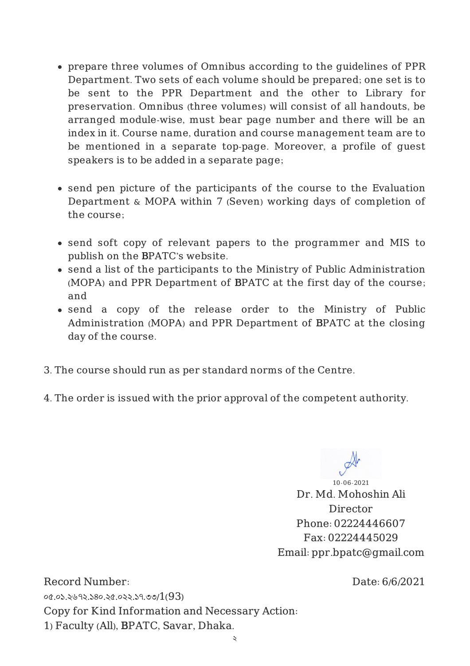- prepare three volumes of Omnibus according to the guidelines of PPR Department. Two sets of each volume should be prepared; one set is to be sent to the PPR Department and the other to Library for preservation. Omnibus (three volumes) will consist of all handouts, be arranged module-wise, must bear page number and there will be an index in it. Course name, duration and course management team are to be mentioned in a separate top-page. Moreover, a profile of guest speakers is to be added in a separate page;
- send pen picture of the participants of the course to the Evaluation Department & MOPA within 7 (Seven) working days of completion of the course;
- send soft copy of relevant papers to the programmer and MIS to publish on the BPATC's website.
- send a list of the participants to the Ministry of Public Administration (MOPA) and PPR Department of BPATC at the first day of the course; and
- send a copy of the release order to the Ministry of Public Administration (MOPA) and PPR Department of BPATC at the closing day of the course.
- 3. The course should run as per standard norms of the Centre.
- 4. The order is issued with the prior approval of the competent authority.

10-06-2021 Dr. Md. Mohoshin Ali Director Phone: 02224446607 Fax: 02224445029 Email: ppr.bpatc@gmail.com

Date: 6/6/2021

Record Number: ০৫.০১.২৬৭২.১৪০.২৫.০২২.১৭.৩৩/1(93) Copy for Kind Information and Necessary Action: 1) Faculty (All), BPATC, Savar, Dhaka.

২